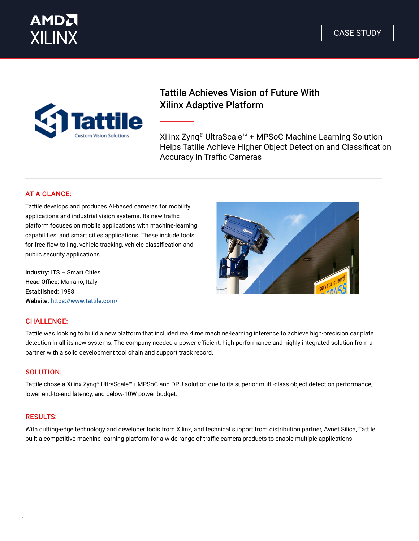



### Tattile Achieves Vision of Future With Xilinx Adaptive Platform

Xilinx Zynq® UltraScale™ + MPSoC Machine Learning Solution Helps Tatille Achieve Higher Object Detection and Classification Accuracy in Traffic Cameras

### AT A GLANCE:

Tattile develops and produces AI-based cameras for mobility applications and industrial vision systems. Its new traffic platform focuses on mobile applications with machine-learning capabilities, and smart cities applications. These include tools for free flow tolling, vehicle tracking, vehicle classification and public security applications.

Industry: ITS – Smart Cities Head Office: Mairano, Italy Established: 1988 Website: [https://www.tattile.com/](https://www.tattile.com/ )

### CHALLENGE:

Tattile was looking to build a new platform that included real-time machine-learning inference to achieve high-precision car plate detection in all its new systems. The company needed a power-efficient, high-performance and highly integrated solution from a partner with a solid development tool chain and support track record.

### SOLUTION:

Tattile chose a Xilinx Zynq® UltraScale™+ MPSoC and DPU solution due to its superior multi-class object detection performance, lower end-to-end latency, and below-10W power budget.

### RESULTS:

With cutting-edge technology and developer tools from Xilinx, and technical support from distribution partner, Avnet Silica, Tattile built a competitive machine learning platform for a wide range of traffic camera products to enable multiple applications.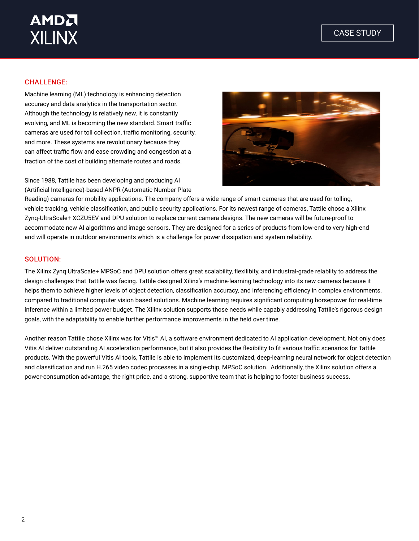# **AMDA XILINX**

### CHALLENGE:

Machine learning (ML) technology is enhancing detection accuracy and data analytics in the transportation sector. Although the technology is relatively new, it is constantly evolving, and ML is becoming the new standard. Smart traffic cameras are used for toll collection, traffic monitoring, security, and more. These systems are revolutionary because they can affect traffic flow and ease crowding and congestion at a fraction of the cost of building alternate routes and roads.

Since 1988, Tattile has been developing and producing AI (Artificial Intelligence)-based ANPR (Automatic Number Plate



Reading) cameras for mobility applications. The company offers a wide range of smart cameras that are used for tolling, vehicle tracking, vehicle classification, and public security applications. For its newest range of cameras, Tattile chose a Xilinx Zynq-UltraScale+ XCZU5EV and DPU solution to replace current camera designs. The new cameras will be future-proof to accommodate new AI algorithms and image sensors. They are designed for a series of products from low-end to very high-end and will operate in outdoor environments which is a challenge for power dissipation and system reliability.

#### SOLUTION:

The Xilinx Zynq UltraScale+ MPSoC and DPU solution offers great scalability, flexilibity, and industral-grade relablity to address the design challenges that Tattile was facing. Tattile designed Xilinx's machine-learning technology into its new cameras because it helps them to achieve higher levels of object detection, classification accuracy, and inferencing efficiency in complex environments, compared to traditional computer vision based solutions. Machine learning requires significant computing horsepower for real-time inference within a limited power budget. The Xilinx solution supports those needs while capably addressing Tattile's rigorous design goals, with the adaptability to enable further performance improvements in the field over time.

Another reason Tattile chose Xilinx was for Vitis™ AI, a software environment dedicated to AI application development. Not only does Vitis AI deliver outstanding AI acceleration performance, but it also provides the flexibility to fit various traffic scenarios for Tattile products. With the powerful Vitis AI tools, Tattile is able to implement its customized, deep-learning neural network for object detection and classification and run H.265 video codec processes in a single-chip, MPSoC solution. Additionally, the Xilinx solution offers a power-consumption advantage, the right price, and a strong, supportive team that is helping to foster business success.